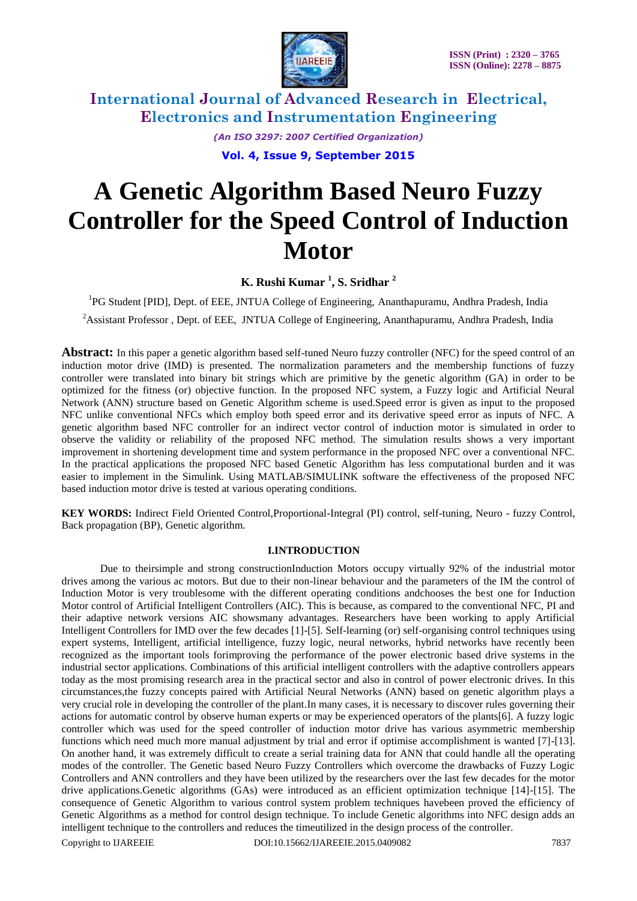

> *(An ISO 3297: 2007 Certified Organization)* **Vol. 4, Issue 9, September 2015**

# **A Genetic Algorithm Based Neuro Fuzzy Controller for the Speed Control of Induction Motor**

**K. Rushi Kumar <sup>1</sup> , S. Sridhar <sup>2</sup>**

<sup>1</sup>PG Student [PID], Dept. of EEE, JNTUA College of Engineering, Ananthapuramu, Andhra Pradesh, India

<sup>2</sup> Assistant Professor, Dept. of EEE, JNTUA College of Engineering, Ananthapuramu, Andhra Pradesh, India

**Abstract:** In this paper a genetic algorithm based self-tuned Neuro fuzzy controller (NFC) for the speed control of an induction motor drive (IMD) is presented. The normalization parameters and the membership functions of fuzzy controller were translated into binary bit strings which are primitive by the genetic algorithm (GA) in order to be optimized for the fitness (or) objective function. In the proposed NFC system, a Fuzzy logic and Artificial Neural Network (ANN) structure based on Genetic Algorithm scheme is used.Speed error is given as input to the proposed NFC unlike conventional NFCs which employ both speed error and its derivative speed error as inputs of NFC. A genetic algorithm based NFC controller for an indirect vector control of induction motor is simulated in order to observe the validity or reliability of the proposed NFC method. The simulation results shows a very important improvement in shortening development time and system performance in the proposed NFC over a conventional NFC. In the practical applications the proposed NFC based Genetic Algorithm has less computational burden and it was easier to implement in the Simulink. Using MATLAB/SIMULINK software the effectiveness of the proposed NFC based induction motor drive is tested at various operating conditions.

**KEY WORDS:** Indirect Field Oriented Control,Proportional-Integral (PI) control, self-tuning, Neuro - fuzzy Control, Back propagation (BP), Genetic algorithm.

### **I.INTRODUCTION**

Due to theirsimple and strong constructionInduction Motors occupy virtually 92% of the industrial motor drives among the various ac motors. But due to their non-linear behaviour and the parameters of the IM the control of Induction Motor is very troublesome with the different operating conditions andchooses the best one for Induction Motor control of Artificial Intelligent Controllers (AIC). This is because, as compared to the conventional NFC, PI and their adaptive network versions AIC showsmany advantages. Researchers have been working to apply Artificial Intelligent Controllers for IMD over the few decades [1]-[5]. Self-learning (or) self-organising control techniques using expert systems, Intelligent, artificial intelligence, fuzzy logic, neural networks, hybrid networks have recently been recognized as the important tools forimproving the performance of the power electronic based drive systems in the industrial sector applications. Combinations of this artificial intelligent controllers with the adaptive controllers appears today as the most promising research area in the practical sector and also in control of power electronic drives. In this circumstances,the fuzzy concepts paired with Artificial Neural Networks (ANN) based on genetic algorithm plays a very crucial role in developing the controller of the plant.In many cases, it is necessary to discover rules governing their actions for automatic control by observe human experts or may be experienced operators of the plants[6]. A fuzzy logic controller which was used for the speed controller of induction motor drive has various asymmetric membership functions which need much more manual adjustment by trial and error if optimise accomplishment is wanted [7]-[13]. On another hand, it was extremely difficult to create a serial training data for ANN that could handle all the operating modes of the controller. The Genetic based Neuro Fuzzy Controllers which overcome the drawbacks of Fuzzy Logic Controllers and ANN controllers and they have been utilized by the researchers over the last few decades for the motor drive applications.Genetic algorithms (GAs) were introduced as an efficient optimization technique [14]-[15]. The consequence of Genetic Algorithm to various control system problem techniques havebeen proved the efficiency of Genetic Algorithms as a method for control design technique. To include Genetic algorithms into NFC design adds an intelligent technique to the controllers and reduces the timeutilized in the design process of the controller.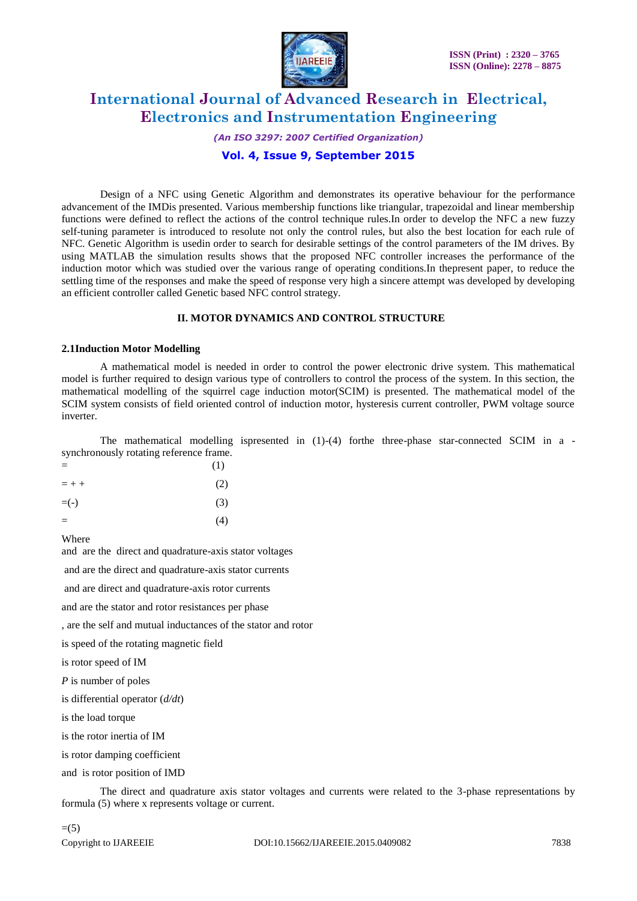

*(An ISO 3297: 2007 Certified Organization)*

### **Vol. 4, Issue 9, September 2015**

Design of a NFC using Genetic Algorithm and demonstrates its operative behaviour for the performance advancement of the IMDis presented. Various membership functions like triangular, trapezoidal and linear membership functions were defined to reflect the actions of the control technique rules.In order to develop the NFC a new fuzzy self-tuning parameter is introduced to resolute not only the control rules, but also the best location for each rule of NFC. Genetic Algorithm is usedin order to search for desirable settings of the control parameters of the IM drives. By using MATLAB the simulation results shows that the proposed NFC controller increases the performance of the induction motor which was studied over the various range of operating conditions.In thepresent paper, to reduce the settling time of the responses and make the speed of response very high a sincere attempt was developed by developing an efficient controller called Genetic based NFC control strategy.

#### **II. MOTOR DYNAMICS AND CONTROL STRUCTURE**

#### **2.1Induction Motor Modelling**

A mathematical model is needed in order to control the power electronic drive system. This mathematical model is further required to design various type of controllers to control the process of the system. In this section, the mathematical modelling of the squirrel cage induction motor(SCIM) is presented. The mathematical model of the SCIM system consists of field oriented control of induction motor, hysteresis current controller, PWM voltage source inverter.

The mathematical modelling ispresented in (1)-(4) for the three-phase star-connected SCIM in a synchronously rotating reference frame.

| $=$     | (1) |
|---------|-----|
| $= + +$ | (2) |
| $= (-)$ | (3) |
| $=$     | (4) |

Where

and are the direct and quadrature-axis stator voltages

and are the direct and quadrature-axis stator currents

and are direct and quadrature-axis rotor currents

and are the stator and rotor resistances per phase

, are the self and mutual inductances of the stator and rotor

is speed of the rotating magnetic field

is rotor speed of IM

*P* is number of poles

is differential operator (*d/dt*)

is the load torque

is the rotor inertia of IM

is rotor damping coefficient

and is rotor position of IMD

The direct and quadrature axis stator voltages and currents were related to the 3-phase representations by formula (5) where x represents voltage or current.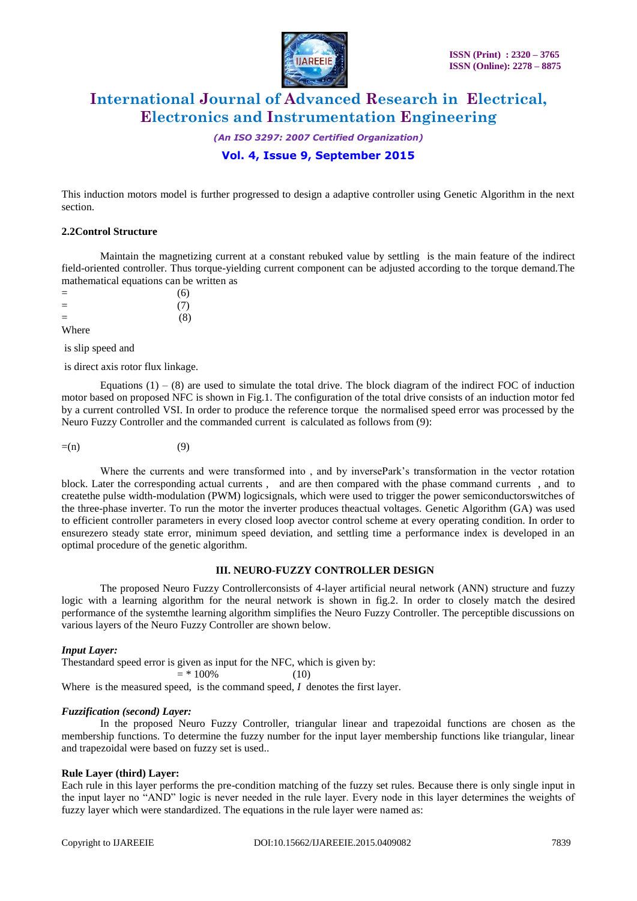

*(An ISO 3297: 2007 Certified Organization)*

### **Vol. 4, Issue 9, September 2015**

This induction motors model is further progressed to design a adaptive controller using Genetic Algorithm in the next section.

#### **2.2Control Structure**

Maintain the magnetizing current at a constant rebuked value by settling is the main feature of the indirect field-oriented controller. Thus torque-yielding current component can be adjusted according to the torque demand.The mathematical equations can be written as

 $=$  (6)  $=$  (7)  $=$  (8)

Where

is slip speed and

is direct axis rotor flux linkage.

Equations  $(1) - (8)$  are used to simulate the total drive. The block diagram of the indirect FOC of induction motor based on proposed NFC is shown in Fig.1. The configuration of the total drive consists of an induction motor fed by a current controlled VSI. In order to produce the reference torque the normalised speed error was processed by the Neuro Fuzzy Controller and the commanded current is calculated as follows from (9):

$$
=(n)\tag{9}
$$

Where the currents and were transformed into, and by inversePark's transformation in the vector rotation block. Later the corresponding actual currents , and are then compared with the phase command currents , and to createthe pulse width-modulation (PWM) logicsignals, which were used to trigger the power semiconductorswitches of the three-phase inverter. To run the motor the inverter produces theactual voltages. Genetic Algorithm (GA) was used to efficient controller parameters in every closed loop avector control scheme at every operating condition. In order to ensurezero steady state error, minimum speed deviation, and settling time a performance index is developed in an optimal procedure of the genetic algorithm.

#### **III. NEURO-FUZZY CONTROLLER DESIGN**

The proposed Neuro Fuzzy Controllerconsists of 4-layer artificial neural network (ANN) structure and fuzzy logic with a learning algorithm for the neural network is shown in fig.2. In order to closely match the desired performance of the systemthe learning algorithm simplifies the Neuro Fuzzy Controller. The perceptible discussions on various layers of the Neuro Fuzzy Controller are shown below.

#### *Input Layer:*

Thestandard speed error is given as input for the NFC, which is given by:  $= *100\%$  (10)

Where is the measured speed, is the command speed, *I* denotes the first layer.

#### *Fuzzification (second) Layer:*

In the proposed Neuro Fuzzy Controller, triangular linear and trapezoidal functions are chosen as the membership functions. To determine the fuzzy number for the input layer membership functions like triangular, linear and trapezoidal were based on fuzzy set is used..

#### **Rule Layer (third) Layer:**

Each rule in this layer performs the pre-condition matching of the fuzzy set rules. Because there is only single input in the input layer no "AND" logic is never needed in the rule layer. Every node in this layer determines the weights of fuzzy layer which were standardized. The equations in the rule layer were named as: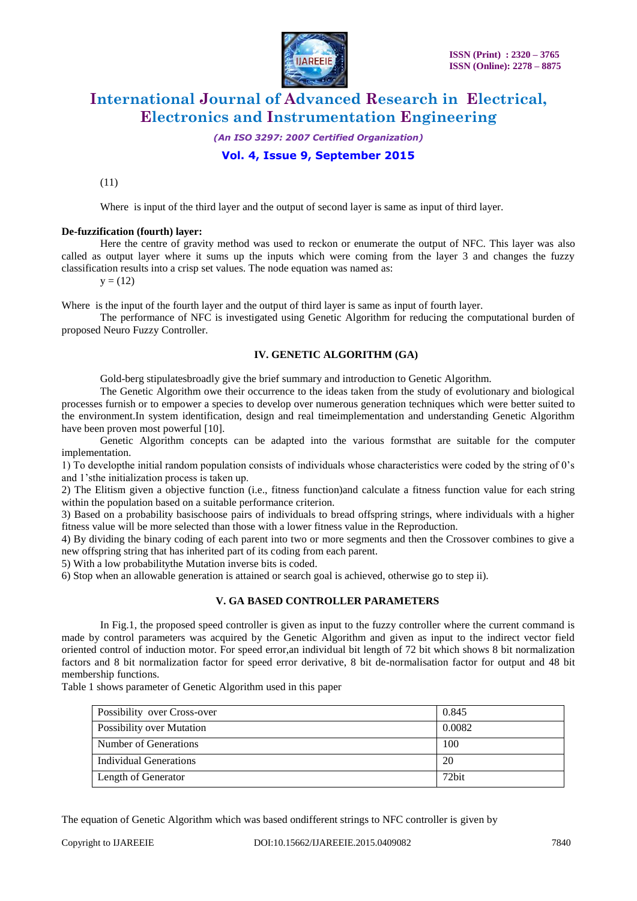

*(An ISO 3297: 2007 Certified Organization)*

### **Vol. 4, Issue 9, September 2015**

(11)

Where is input of the third layer and the output of second layer is same as input of third layer.

#### **De-fuzzification (fourth) layer:**

Here the centre of gravity method was used to reckon or enumerate the output of NFC. This layer was also called as output layer where it sums up the inputs which were coming from the layer 3 and changes the fuzzy classification results into a crisp set values. The node equation was named as:

 $y = (12)$ 

Where is the input of the fourth layer and the output of third layer is same as input of fourth layer.

The performance of NFC is investigated using Genetic Algorithm for reducing the computational burden of proposed Neuro Fuzzy Controller.

#### **IV. GENETIC ALGORITHM (GA)**

Gold-berg stipulatesbroadly give the brief summary and introduction to Genetic Algorithm.

The Genetic Algorithm owe their occurrence to the ideas taken from the study of evolutionary and biological processes furnish or to empower a species to develop over numerous generation techniques which were better suited to the environment.In system identification, design and real timeimplementation and understanding Genetic Algorithm have been proven most powerful [10].

Genetic Algorithm concepts can be adapted into the various formsthat are suitable for the computer implementation.

1) To developthe initial random population consists of individuals whose characteristics were coded by the string of 0's and 1'sthe initialization process is taken up.

2) The Elitism given a objective function (i.e., fitness function)and calculate a fitness function value for each string within the population based on a suitable performance criterion.

3) Based on a probability basischoose pairs of individuals to bread offspring strings, where individuals with a higher fitness value will be more selected than those with a lower fitness value in the Reproduction.

4) By dividing the binary coding of each parent into two or more segments and then the Crossover combines to give a new offspring string that has inherited part of its coding from each parent.

5) With a low probabilitythe Mutation inverse bits is coded.

6) Stop when an allowable generation is attained or search goal is achieved, otherwise go to step ii).

#### **V. GA BASED CONTROLLER PARAMETERS**

In Fig.1, the proposed speed controller is given as input to the fuzzy controller where the current command is made by control parameters was acquired by the Genetic Algorithm and given as input to the indirect vector field oriented control of induction motor. For speed error,an individual bit length of 72 bit which shows 8 bit normalization factors and 8 bit normalization factor for speed error derivative, 8 bit de-normalisation factor for output and 48 bit membership functions.

Table 1 shows parameter of Genetic Algorithm used in this paper

| Possibility over Cross-over      | 0.845  |
|----------------------------------|--------|
| <b>Possibility over Mutation</b> | 0.0082 |
| Number of Generations            | 100    |
| Individual Generations           | 20     |
| Length of Generator              | 72bit  |

The equation of Genetic Algorithm which was based ondifferent strings to NFC controller is given by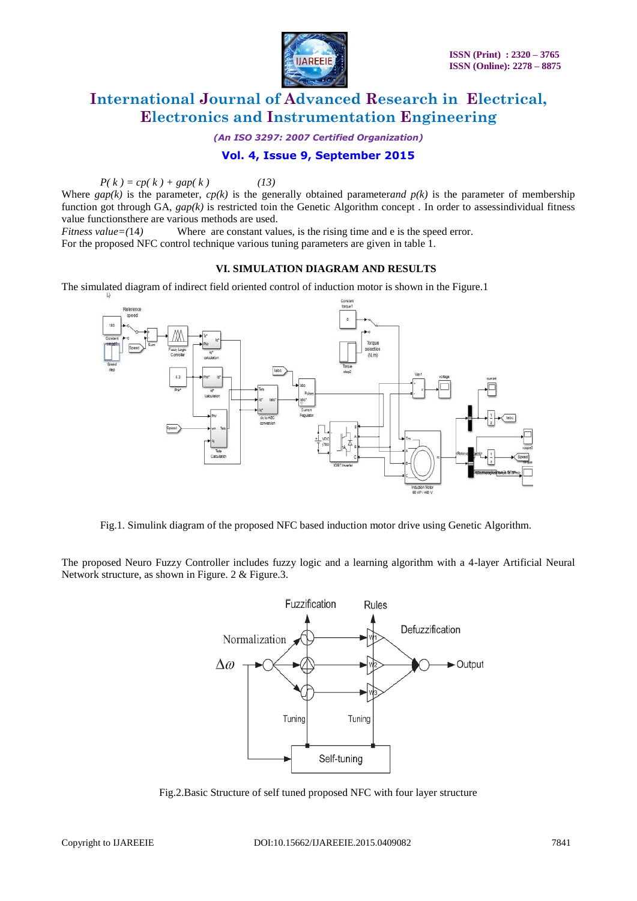

*(An ISO 3297: 2007 Certified Organization)*

### **Vol. 4, Issue 9, September 2015**

 $P(k) = cp(k) + gap(k)$  (13)

Where  $gap(k)$  is the parameter,  $cp(k)$  is the generally obtained parameter*and p(k)* is the parameter of membership function got through GA,  $gap(k)$  is restricted toin the Genetic Algorithm concept. In order to assessindividual fitness value functionsthere are various methods are used.

*Fitness value* = (14) Where are constant values, is the rising time and e is the speed error.

For the proposed NFC control technique various tuning parameters are given in table 1.

### **VI. SIMULATION DIAGRAM AND RESULTS**

The simulated diagram of indirect field oriented control of induction motor is shown in the Figure.1



Fig.1. Simulink diagram of the proposed NFC based induction motor drive using Genetic Algorithm.

The proposed Neuro Fuzzy Controller includes fuzzy logic and a learning algorithm with a 4-layer Artificial Neural Network structure, as shown in Figure. 2 & Figure.3.



Fig.2.Basic Structure of self tuned proposed NFC with four layer structure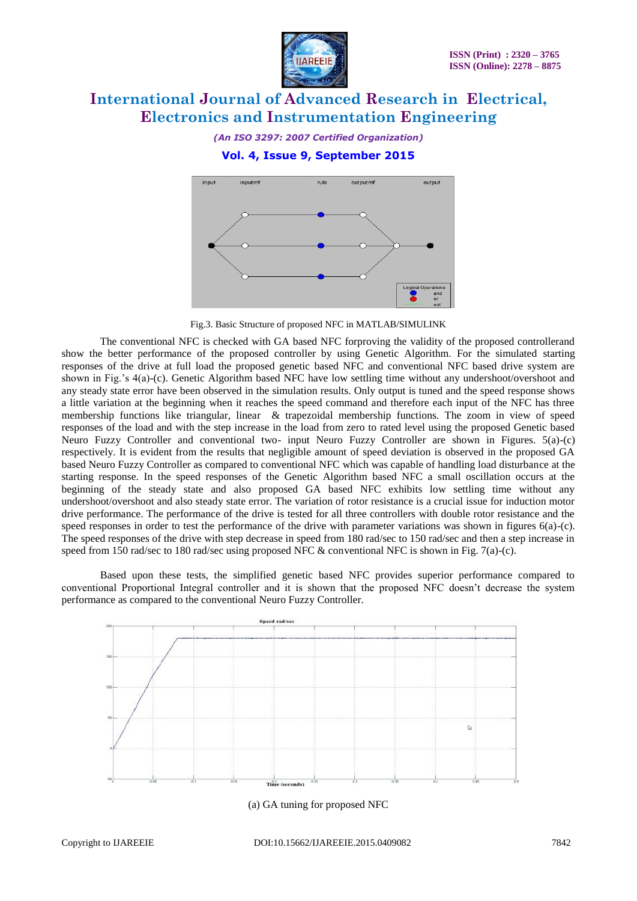

*(An ISO 3297: 2007 Certified Organization)*

### **Vol. 4, Issue 9, September 2015**



Fig.3. Basic Structure of proposed NFC in MATLAB/SIMULINK

The conventional NFC is checked with GA based NFC forproving the validity of the proposed controllerand show the better performance of the proposed controller by using Genetic Algorithm. For the simulated starting responses of the drive at full load the proposed genetic based NFC and conventional NFC based drive system are shown in Fig.'s 4(a)-(c). Genetic Algorithm based NFC have low settling time without any undershoot/overshoot and any steady state error have been observed in the simulation results. Only output is tuned and the speed response shows a little variation at the beginning when it reaches the speed command and therefore each input of the NFC has three membership functions like triangular, linear & trapezoidal membership functions. The zoom in view of speed responses of the load and with the step increase in the load from zero to rated level using the proposed Genetic based Neuro Fuzzy Controller and conventional two- input Neuro Fuzzy Controller are shown in Figures. 5(a)-(c) respectively. It is evident from the results that negligible amount of speed deviation is observed in the proposed GA based Neuro Fuzzy Controller as compared to conventional NFC which was capable of handling load disturbance at the starting response. In the speed responses of the Genetic Algorithm based NFC a small oscillation occurs at the beginning of the steady state and also proposed GA based NFC exhibits low settling time without any undershoot/overshoot and also steady state error. The variation of rotor resistance is a crucial issue for induction motor drive performance. The performance of the drive is tested for all three controllers with double rotor resistance and the speed responses in order to test the performance of the drive with parameter variations was shown in figures 6(a)-(c). The speed responses of the drive with step decrease in speed from 180 rad/sec to 150 rad/sec and then a step increase in speed from 150 rad/sec to 180 rad/sec using proposed NFC & conventional NFC is shown in Fig. 7(a)-(c).

Based upon these tests, the simplified genetic based NFC provides superior performance compared to conventional Proportional Integral controller and it is shown that the proposed NFC doesn't decrease the system performance as compared to the conventional Neuro Fuzzy Controller.



(a) GA tuning for proposed NFC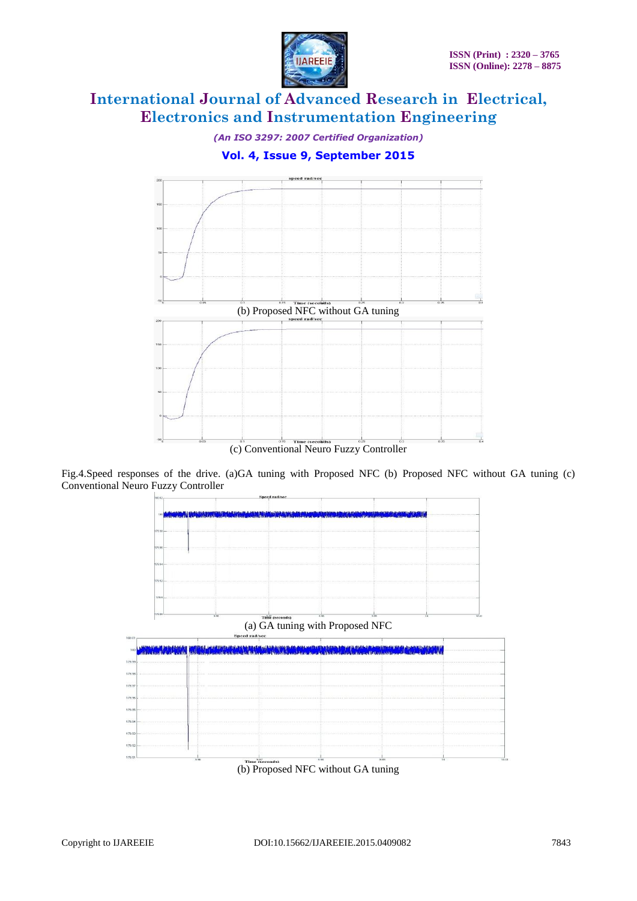

*(An ISO 3297: 2007 Certified Organization)*

**Vol. 4, Issue 9, September 2015**



Fig.4.Speed responses of the drive. (a)GA tuning with Proposed NFC (b) Proposed NFC without GA tuning (c) Conventional Neuro Fuzzy Controller



(b) Proposed NFC without GA tuning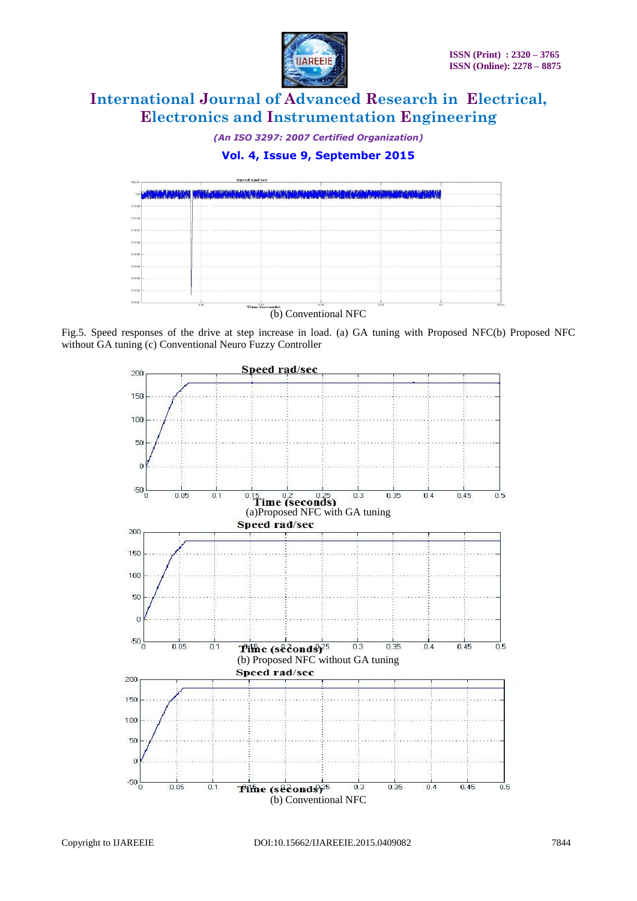

*(An ISO 3297: 2007 Certified Organization)*

## **Vol. 4, Issue 9, September 2015**



Fig.5. Speed responses of the drive at step increase in load. (a) GA tuning with Proposed NFC(b) Proposed NFC without GA tuning (c) Conventional Neuro Fuzzy Controller

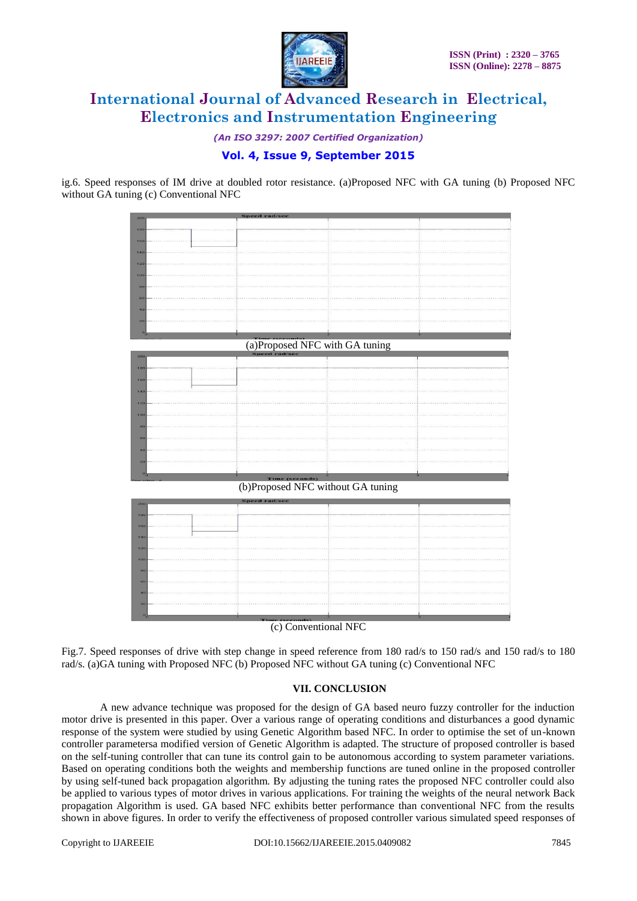

*(An ISO 3297: 2007 Certified Organization)*

### **Vol. 4, Issue 9, September 2015**

ig.6. Speed responses of IM drive at doubled rotor resistance. (a)Proposed NFC with GA tuning (b) Proposed NFC without GA tuning (c) Conventional NFC



(b)Proposed NFC without GA tuning



(c) Conventional NFC

Fig.7. Speed responses of drive with step change in speed reference from 180 rad/s to 150 rad/s and 150 rad/s to 180 rad/s. (a)GA tuning with Proposed NFC (b) Proposed NFC without GA tuning (c) Conventional NFC

#### **VII. CONCLUSION**

A new advance technique was proposed for the design of GA based neuro fuzzy controller for the induction motor drive is presented in this paper. Over a various range of operating conditions and disturbances a good dynamic response of the system were studied by using Genetic Algorithm based NFC. In order to optimise the set of un-known controller parametersa modified version of Genetic Algorithm is adapted. The structure of proposed controller is based on the self-tuning controller that can tune its control gain to be autonomous according to system parameter variations. Based on operating conditions both the weights and membership functions are tuned online in the proposed controller by using self-tuned back propagation algorithm. By adjusting the tuning rates the proposed NFC controller could also be applied to various types of motor drives in various applications. For training the weights of the neural network Back propagation Algorithm is used. GA based NFC exhibits better performance than conventional NFC from the results shown in above figures. In order to verify the effectiveness of proposed controller various simulated speed responses of